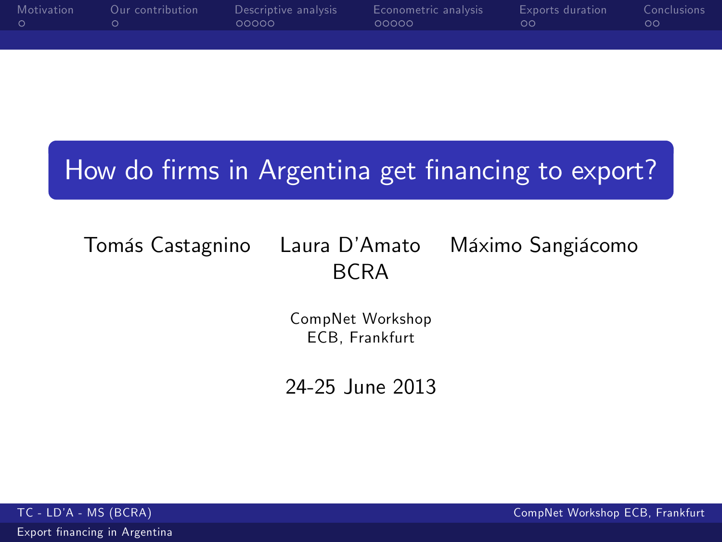| Motivation | Our contribution | Descriptive analysis<br>00000 | Econometric analysis<br>00000 | Exports duration<br>ററ - | Conclusions<br>ററ |
|------------|------------------|-------------------------------|-------------------------------|--------------------------|-------------------|
|            |                  |                               |                               |                          |                   |

# How do firms in Argentina get financing to export?

Tomás Castagnino Laura D'Amato Máximo Sangiácomo BCRA

> CompNet Workshop ECB, Frankfurt

<span id="page-0-0"></span>24-25 June 2013

Export financing in Argentina

TC - LD'A - MS (BCRA) CompNet Workshop ECB, Frankfurt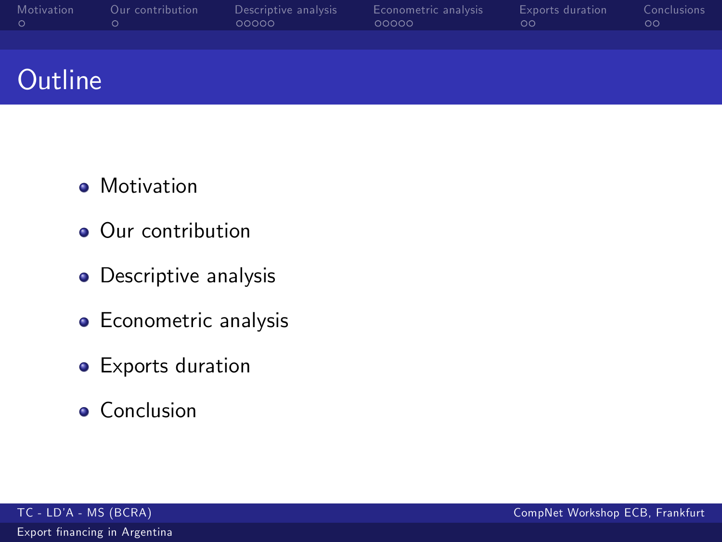| Motivation | Our contribution | Descriptive analysis<br>00000 | Econometric analysis<br>00000 | <b>Exports duration</b><br>ററ - | Conclusions<br>ററ |
|------------|------------------|-------------------------------|-------------------------------|---------------------------------|-------------------|
|            |                  |                               |                               |                                 |                   |

# **Outline**

- **•** Motivation
- **Our contribution**
- **•** Descriptive analysis
- **•** Econometric analysis
- **•** Exports duration
- **•** Conclusion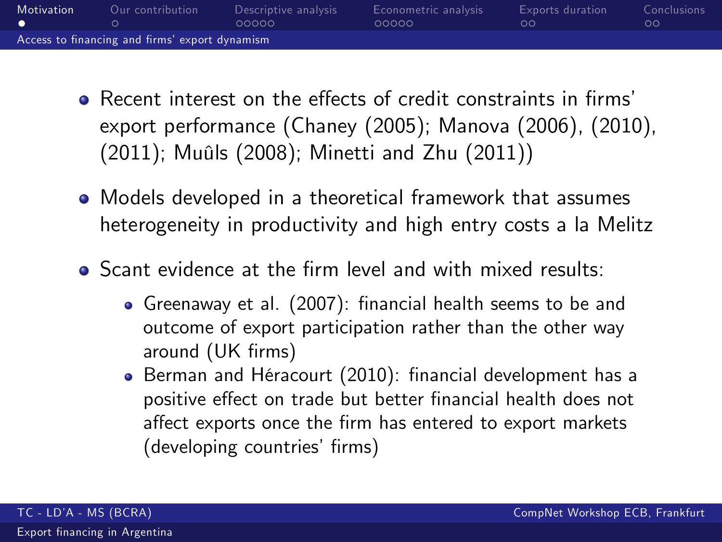| <b>Motivation</b> | Our contribution                               | Descriptive analysis<br>00000 | Econometric analysis<br>00000 | Exports duration<br>ററ | Conclusions<br>oο |
|-------------------|------------------------------------------------|-------------------------------|-------------------------------|------------------------|-------------------|
|                   | Access to financing and firms' export dynamism |                               |                               |                        |                   |

- $\bullet$  Recent interest on the effects of credit constraints in firms' export performance (Chaney (2005); Manova (2006), (2010), (2011); Muûls (2008); Minetti and Zhu (2011))
- Models developed in a theoretical framework that assumes heterogeneity in productivity and high entry costs a la Melitz
- <span id="page-2-0"></span>• Scant evidence at the firm level and with mixed results:
	- Greenaway et al. (2007): financial health seems to be and outcome of export participation rather than the other way around (UK firms)
	- **Berman and Héracourt (2010): financial development has a** positive effect on trade but better financial health does not affect exports once the firm has entered to export markets (developing countries' firms)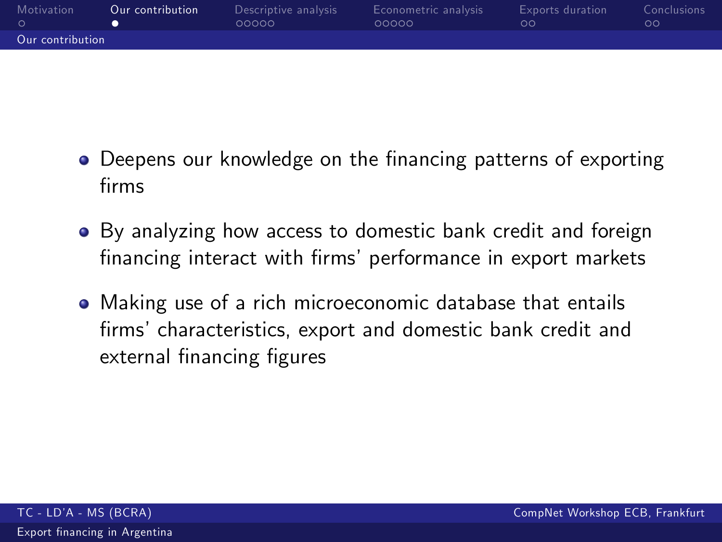| Motivation       | Our contribution | Descriptive analysis<br>00000 | Econometric analysis<br>00000 | <b>Exports</b> duration<br>ററ | Conclusions<br>oο |
|------------------|------------------|-------------------------------|-------------------------------|-------------------------------|-------------------|
| Our contribution |                  |                               |                               |                               |                   |

- Deepens our knowledge on the financing patterns of exporting firms
- By analyzing how access to domestic bank credit and foreign financing interact with firms' performance in export markets
- <span id="page-3-0"></span>Making use of a rich microeconomic database that entails firms' characteristics, export and domestic bank credit and external financing figures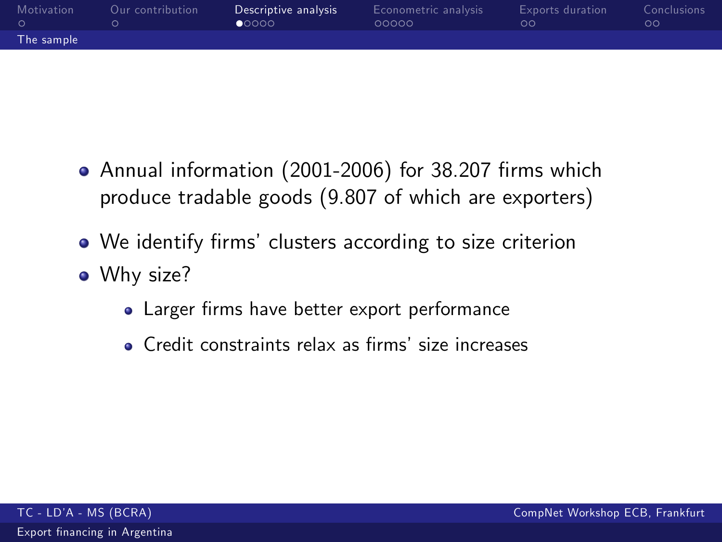| Motivation | Our contribution | Descriptive analysis<br>$\bullet$ 0000 | Econometric analysis<br>00000 | <b>Exports duration</b><br>ററ | Conclusions<br>oο |
|------------|------------------|----------------------------------------|-------------------------------|-------------------------------|-------------------|
| The sample |                  |                                        |                               |                               |                   |

- Annual information (2001-2006) for 38.207 firms which produce tradable goods (9.807 of which are exporters)
- We identify firms' clusters according to size criterion
- <span id="page-4-0"></span>• Why size?
	- Larger firms have better export performance
	- Credit constraints relax as firms' size increases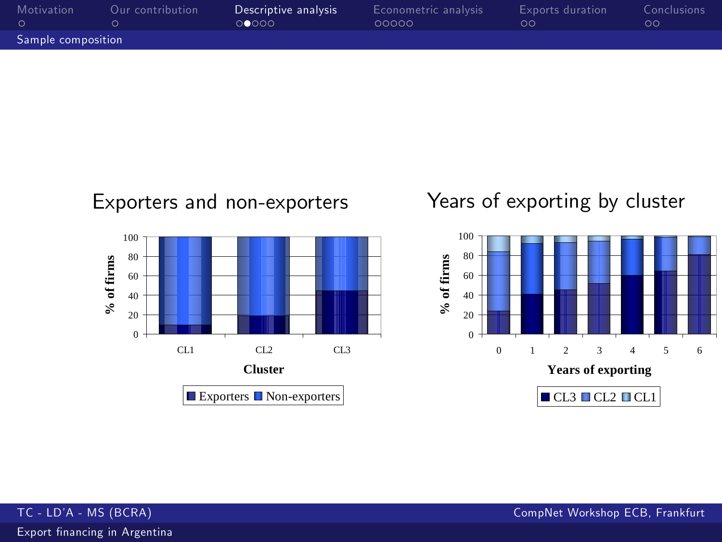| Motivation         | Our contribution | Descriptive analysis<br>00000 | Econometric analysis<br>00000 | Exports duration<br>ററ | <b>Conclusions</b><br>ററ |
|--------------------|------------------|-------------------------------|-------------------------------|------------------------|--------------------------|
| Sample composition |                  |                               |                               |                        |                          |



## Years of exporting by cluster



Export financing in Argentina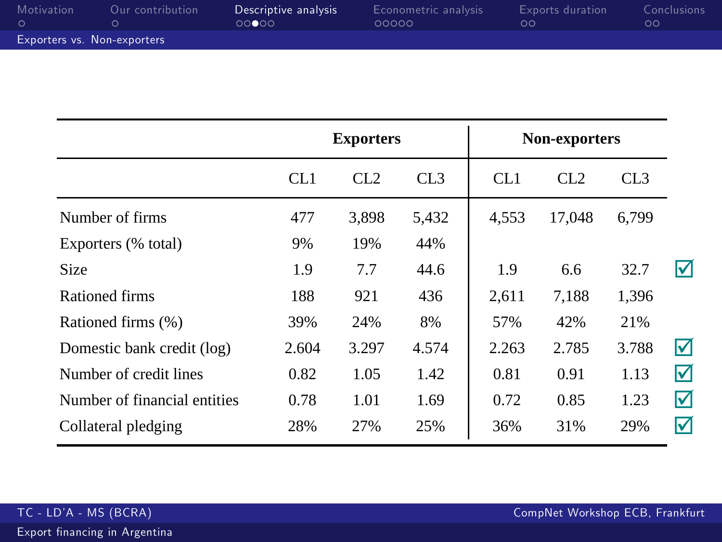| Motivation                  | Our contribution | Descriptive analysis<br>00000 | Econometric analysis<br>00000 | <b>Exports</b> duration<br>ററ | Conclusions<br>ററ |
|-----------------------------|------------------|-------------------------------|-------------------------------|-------------------------------|-------------------|
| Exporters vs. Non-exporters |                  |                               |                               |                               |                   |

|                              | <b>Exporters</b> |       |       |       | Non-exporters |       |   |
|------------------------------|------------------|-------|-------|-------|---------------|-------|---|
|                              | CL1              | CL2   | CL3   | CL1   | CL2           | CL3   |   |
| Number of firms              | 477              | 3.898 | 5,432 | 4.553 | 17.048        | 6.799 |   |
| Exporters (% total)          | 9%               | 19%   | 44%   |       |               |       |   |
| Size                         | 1.9              | 7.7   | 44.6  | 1.9   | 6.6           | 32.7  | ⋈ |
| Rationed firms               | 188              | 921   | 436   | 2.611 | 7,188         | 1,396 |   |
| Rationed firms (%)           | 39%              | 24%   | 8%    | 57%   | 42%           | 21%   |   |
| Domestic bank credit (log)   | 2.604            | 3.297 | 4.574 | 2.263 | 2.785         | 3.788 | ⊠ |
| Number of credit lines       | 0.82             | 1.05  | 1.42  | 0.81  | 0.91          | 1.13  | ☑ |
| Number of financial entities | 0.78             | 1.01  | 1.69  | 0.72  | 0.85          | 1.23  | ☑ |
| Collateral pledging          | 28%              | 27%   | 25%   | 36%   | 31%           | 29%   | ⋈ |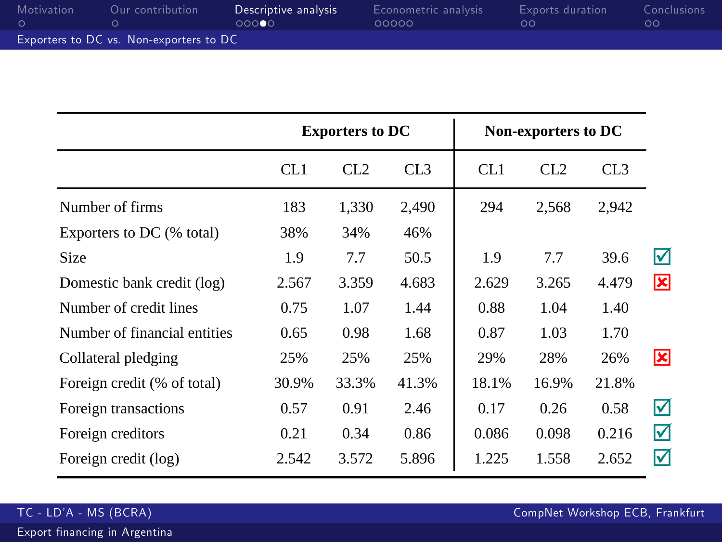| Motivation | Our contribution                        | Descriptive analysis<br>00000 | Econometric analysis<br>00000 | Exports duration<br>ററ | Conclusions<br>ററ |
|------------|-----------------------------------------|-------------------------------|-------------------------------|------------------------|-------------------|
|            | Exporters to DC vs. Non-exporters to DC |                               |                               |                        |                   |

|                              | <b>Exporters to DC</b> |                 |                 |       | Non-exporters to DC |                 |   |  |
|------------------------------|------------------------|-----------------|-----------------|-------|---------------------|-----------------|---|--|
|                              | CL1                    | CL <sub>2</sub> | CL <sub>3</sub> | CL1   | CL2                 | CL <sub>3</sub> |   |  |
| Number of firms              | 183                    | 1,330           | 2,490           | 294   | 2,568               | 2,942           |   |  |
| Exporters to DC (% total)    | 38%                    | 34%             | 46%             |       |                     |                 |   |  |
| <b>Size</b>                  | 1.9                    | 7.7             | 50.5            | 1.9   | 7.7                 | 39.6            | ☑ |  |
| Domestic bank credit (log)   | 2.567                  | 3.359           | 4.683           | 2.629 | 3.265               | 4.479           | 図 |  |
| Number of credit lines       | 0.75                   | 1.07            | 1.44            | 0.88  | 1.04                | 1.40            |   |  |
| Number of financial entities | 0.65                   | 0.98            | 1.68            | 0.87  | 1.03                | 1.70            |   |  |
| Collateral pledging          | 25%                    | 25%             | 25%             | 29%   | 28%                 | 26%             | ⊠ |  |
| Foreign credit (% of total)  | 30.9%                  | 33.3%           | 41.3%           | 18.1% | 16.9%               | 21.8%           |   |  |
| Foreign transactions         | 0.57                   | 0.91            | 2.46            | 0.17  | 0.26                | 0.58            | ☑ |  |
| Foreign creditors            | 0.21                   | 0.34            | 0.86            | 0.086 | 0.098               | 0.216           | ☑ |  |
| Foreign credit (log)         | 2.542                  | 3.572           | 5.896           | 1.225 | 1.558               | 2.652           | ☑ |  |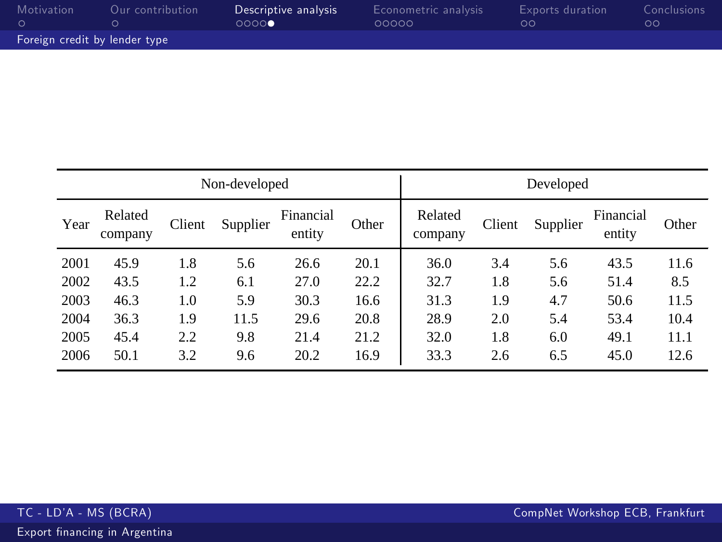| Motivation                    | Our contribution | Descriptive analysis<br>0000 | Econometric analysis<br>00000 | Exports duration<br>ററ | Conclusions<br>ററ |
|-------------------------------|------------------|------------------------------|-------------------------------|------------------------|-------------------|
| Foreign credit by lender type |                  |                              |                               |                        |                   |

| Non-developed |                    |        |          |                     | Developed |                    |        |          |                     |       |
|---------------|--------------------|--------|----------|---------------------|-----------|--------------------|--------|----------|---------------------|-------|
| Year          | Related<br>company | Client | Supplier | Financial<br>entity | Other     | Related<br>company | Client | Supplier | Financial<br>entity | Other |
| 2001          | 45.9               | 1.8    | 5.6      | 26.6                | 20.1      | 36.0               | 3.4    | 5.6      | 43.5                | 11.6  |
| 2002          | 43.5               | 1.2    | 6.1      | 27.0                | 22.2      | 32.7               | 1.8    | 5.6      | 51.4                | 8.5   |
| 2003          | 46.3               | 1.0    | 5.9      | 30.3                | 16.6      | 31.3               | 1.9    | 4.7      | 50.6                | 11.5  |
| 2004          | 36.3               | 1.9    | 11.5     | 29.6                | 20.8      | 28.9               | 2.0    | 5.4      | 53.4                | 10.4  |
| 2005          | 45.4               | 2.2    | 9.8      | 21.4                | 21.2      | 32.0               | 1.8    | 6.0      | 49.1                | 11.1  |
| 2006          | 50.1               | 3.2    | 9.6      | 20.2                | 16.9      | 33.3               | 2.6    | 6.5      | 45.0                | 12.6  |

Export financing in Argentina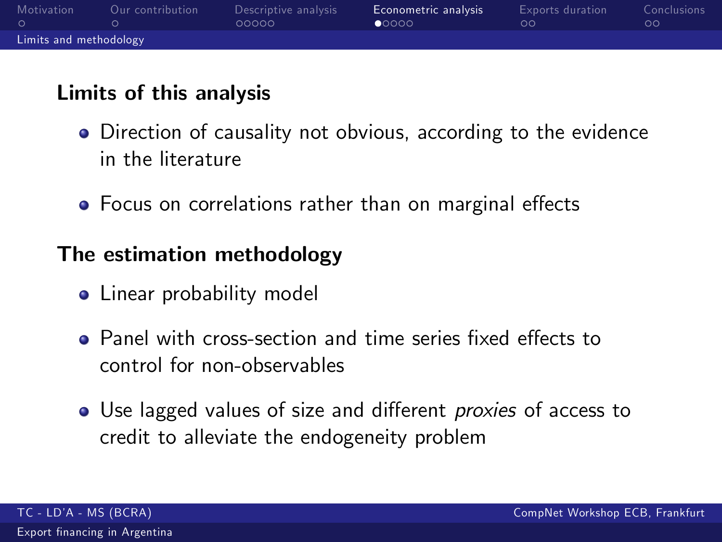| Motivation             | Our contribution | Descriptive analysis<br>00000 | Econometric analysis<br>00000 | <b>Exports</b> duration<br>ററ | <b>Conclusions</b><br>OΟ |  |
|------------------------|------------------|-------------------------------|-------------------------------|-------------------------------|--------------------------|--|
| Limits and methodology |                  |                               |                               |                               |                          |  |

## Limits of this analysis

- **•** Direction of causality not obvious, according to the evidence in the literature
- Focus on correlations rather than on marginal effects

## The estimation methodology

- Linear probability model
- Panel with cross-section and time series fixed effects to control for non-observables
- <span id="page-9-0"></span>• Use lagged values of size and different *proxies* of access to credit to alleviate the endogeneity problem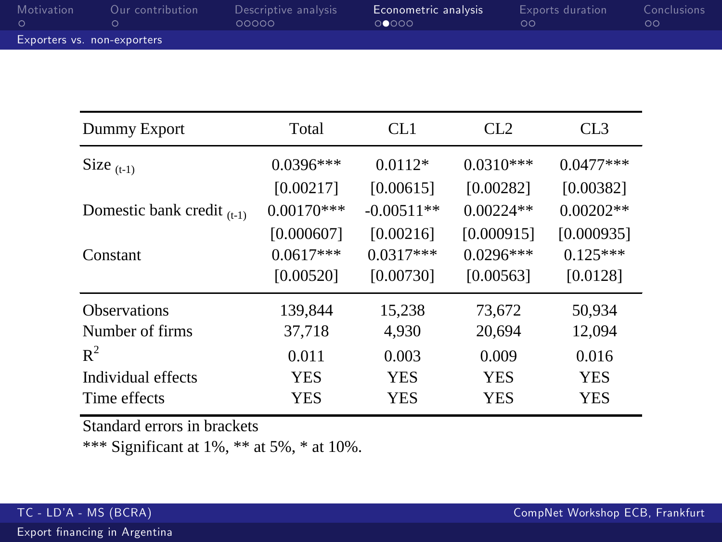| Motivation                  | Our contribution | Descriptive analysis<br>00000 | Econometric analysis<br>00000 | <b>Exports</b> duration<br>.ററ | Conclusions<br>oο |  |
|-----------------------------|------------------|-------------------------------|-------------------------------|--------------------------------|-------------------|--|
| Exporters vs. non-exporters |                  |                               |                               |                                |                   |  |

| Dummy Export                    | Total        | CL1          | CL <sub>2</sub> | CL <sub>3</sub> |
|---------------------------------|--------------|--------------|-----------------|-----------------|
| Size $(t-1)$                    | $0.0396***$  | $0.0112*$    | $0.0310***$     | $0.0477***$     |
|                                 | [0.00217]    | [0.00615]    | [0.00282]       | [0.00382]       |
| Domestic bank credit $_{(t-1)}$ | $0.00170***$ | $-0.00511**$ | $0.00224**$     | $0.00202**$     |
|                                 | [0.000607]   | [0.00216]    | [0.000915]      | [0.000935]      |
| Constant                        | $0.0617***$  | $0.0317***$  | $0.0296***$     | $0.125***$      |
|                                 | [0.00520]    | [0.00730]    | [0.00563]       | [0.0128]        |
| <b>Observations</b>             | 139,844      | 15,238       | 73,672          | 50,934          |
| Number of firms                 | 37,718       | 4.930        | 20,694          | 12,094          |
| $R^2$                           | 0.011        | 0.003        | 0.009           | 0.016           |
| Individual effects              | <b>YES</b>   | <b>YES</b>   | <b>YES</b>      | <b>YES</b>      |
| Time effects                    | YES          | <b>YES</b>   | <b>YES</b>      | <b>YES</b>      |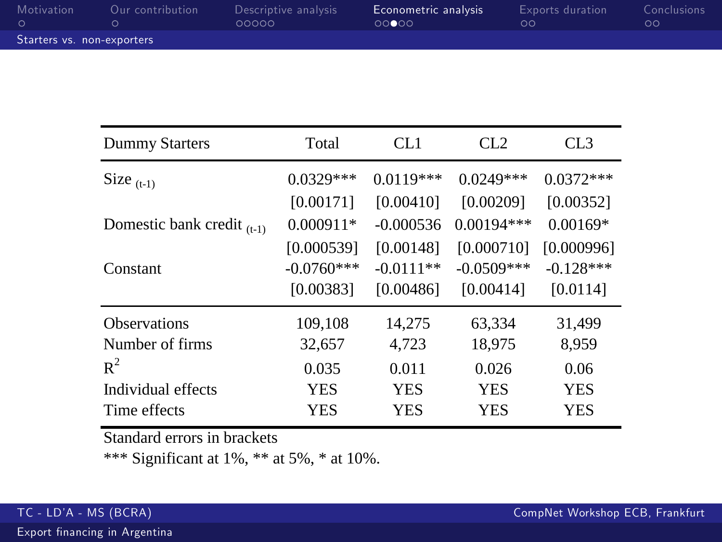| Motivation                 | Our contribution | Descriptive analysis<br>00000 | Econometric analysis<br>00000 | Exports duration<br>ററ | Conclusions<br>oο |  |
|----------------------------|------------------|-------------------------------|-------------------------------|------------------------|-------------------|--|
| Starters vs. non-exporters |                  |                               |                               |                        |                   |  |

| Dummy Starters                  | Total        | CL <sub>1</sub> | CL2          | CL <sub>3</sub> |
|---------------------------------|--------------|-----------------|--------------|-----------------|
| Size $(t-1)$                    | $0.0329***$  | $0.0119***$     | $0.0249***$  | $0.0372***$     |
|                                 | [0.00171]    | [0.00410]       | [0.00209]    | [0.00352]       |
| Domestic bank credit $_{(t-1)}$ | $0.000911*$  | $-0.000536$     | $0.00194***$ | $0.00169*$      |
|                                 | [0.000539]   | [0.00148]       | [0.000710]   | [0.000996]      |
| Constant                        | $-0.0760***$ | $-0.0111**$     | $-0.0509***$ | $-0.128***$     |
|                                 | [0.00383]    | [0.00486]       | [0.00414]    | [0.0114]        |
| <b>Observations</b>             | 109,108      | 14.275          | 63.334       | 31,499          |
| Number of firms                 | 32,657       | 4.723           | 18,975       | 8,959           |
| $R^2$                           | 0.035        | 0.011           | 0.026        | 0.06            |
| Individual effects              | <b>YES</b>   | <b>YES</b>      | YES          | <b>YES</b>      |
| Time effects                    | YES          | YES             | YES          | YES             |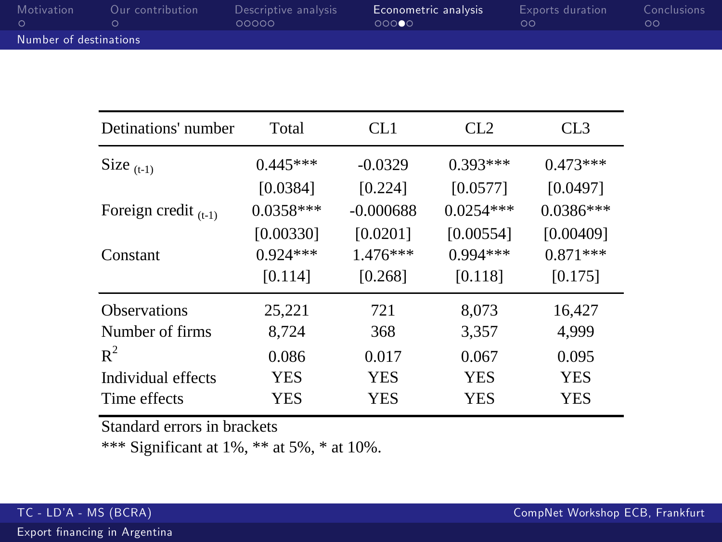| Motivation             | Our contribution | Descriptive analysis<br>00000 | Econometric analysis<br>ററ∩∩െ | Exports duration<br>ററ | Conclusions<br>ററ |  |
|------------------------|------------------|-------------------------------|-------------------------------|------------------------|-------------------|--|
| Number of destinations |                  |                               |                               |                        |                   |  |

| Detinations' number       | Total       | CL1         | CL2         | CL <sub>3</sub> |
|---------------------------|-------------|-------------|-------------|-----------------|
| Size $_{(t-1)}$           | $0.445***$  | $-0.0329$   | $0.393***$  | $0.473***$      |
|                           | [0.0384]    | [0.224]     | [0.0577]    | [0.0497]        |
| Foreign credit $_{(t-1)}$ | $0.0358***$ | $-0.000688$ | $0.0254***$ | $0.0386***$     |
|                           | [0.00330]   | [0.0201]    | [0.00554]   | [0.00409]       |
| Constant                  | $0.924***$  | $1.476***$  | $0.994***$  | $0.871***$      |
|                           | [0.114]     | [0.268]     | [0.118]     | [0.175]         |
| <b>Observations</b>       | 25,221      | 721         | 8,073       | 16,427          |
| Number of firms           | 8,724       | 368         | 3,357       | 4,999           |
| $R^2$                     | 0.086       | 0.017       | 0.067       | 0.095           |
| Individual effects        | <b>YES</b>  | <b>YES</b>  | <b>YES</b>  | <b>YES</b>      |
| Time effects              | YES         | YES         | YES         | YES             |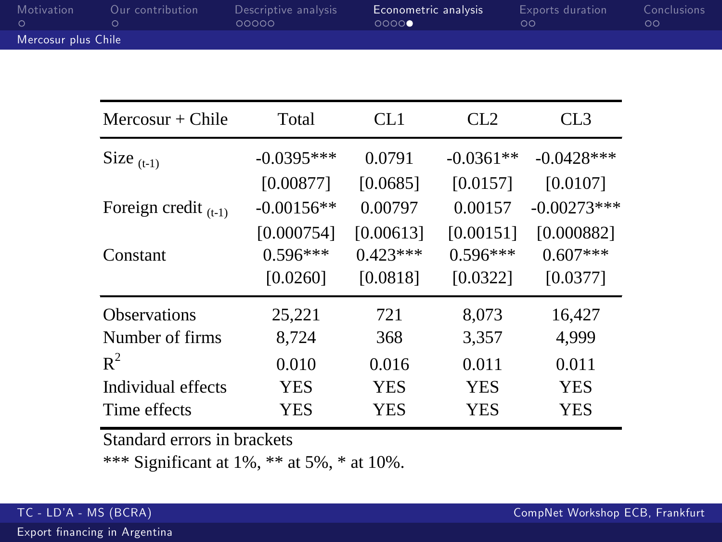| Motivation          | Our contribution | Descriptive analysis<br>00000 | Econometric analysis<br>0000 | Exports duration<br>ററ | <b>Conclusions</b><br>ററ |  |
|---------------------|------------------|-------------------------------|------------------------------|------------------------|--------------------------|--|
| Mercosur plus Chile |                  |                               |                              |                        |                          |  |

| Mercosur $+$ Chile        | Total        | CL1        | CL <sub>2</sub> | CL <sub>3</sub> |
|---------------------------|--------------|------------|-----------------|-----------------|
| Size $_{(t-1)}$           | $-0.0395***$ | 0.0791     | $-0.0361**$     | $-0.0428$ ***   |
|                           | [0.00877]    | [0.0685]   | [0.0157]        | [0.0107]        |
| Foreign credit $_{(t-1)}$ | $-0.00156**$ | 0.00797    | 0.00157         | $-0.00273***$   |
|                           | [0.000754]   | [0.00613]  | [0.00151]       | [0.000882]      |
| Constant                  | $0.596***$   | $0.423***$ | $0.596***$      | $0.607***$      |
|                           | [0.0260]     | [0.0818]   | [0.0322]        | [0.0377]        |
| <b>Observations</b>       | 25,221       | 721        | 8.073           | 16,427          |
| Number of firms           | 8.724        | 368        | 3,357           | 4,999           |
| $R^2$                     | 0.010        | 0.016      | 0.011           | 0.011           |
| Individual effects        | <b>YES</b>   | <b>YES</b> | <b>YES</b>      | <b>YES</b>      |
| Time effects              | YES          | YES        | YES             | YES             |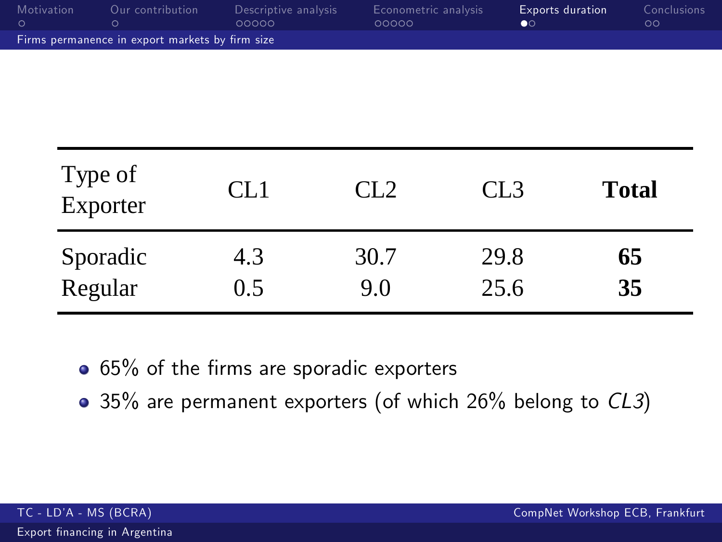| Motivation                                      | Our contribution | Descriptive analysis<br>00000 | Econometric analysis<br>00000 | <b>Exports duration</b><br>$\bullet$ | Conclusions<br>ററ |  |
|-------------------------------------------------|------------------|-------------------------------|-------------------------------|--------------------------------------|-------------------|--|
| Firms permanence in export markets by firm size |                  |                               |                               |                                      |                   |  |

| Type of<br>Exporter | CL1 | CL2  | CL <sub>3</sub> | <b>Total</b> |
|---------------------|-----|------|-----------------|--------------|
| Sporadic            | 4.3 | 30.7 | 29.8            | 65           |
| Regular             | 0.5 | 9.0  | 25.6            | 35           |

• 65% of the firms are sporadic exporters

<span id="page-14-0"></span>• 35% are permanent exporters (of which 26% belong to CL3)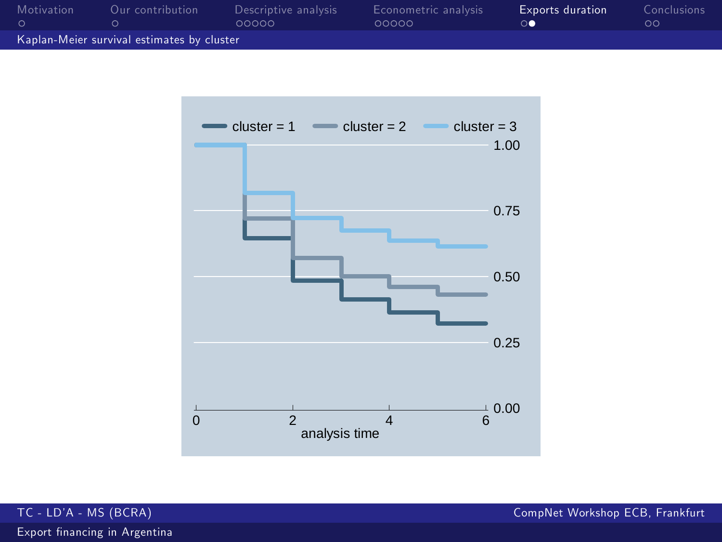| Motivation                                 | Our contribution | Descriptive analysis<br>00000 | Econometric analysis<br>00000 | <b>Exports duration</b> | Conclusions<br>ററ |  |
|--------------------------------------------|------------------|-------------------------------|-------------------------------|-------------------------|-------------------|--|
| Kaplan-Meier survival estimates by cluster |                  |                               |                               |                         |                   |  |



TC - LDíA - MS (BCRA) CompNet Workshop ECB, Frankfurt

Export financing in Argentina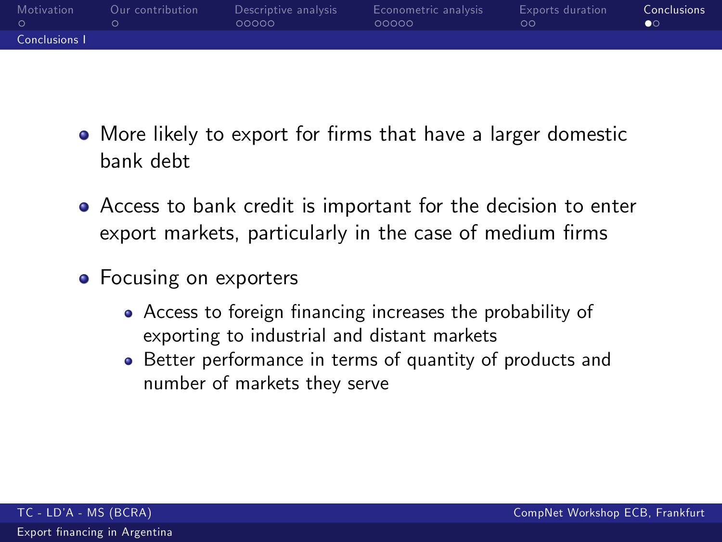| Motivation    | Our contribution | Descriptive analysis<br>00000 | Econometric analysis<br>00000 | <b>Exports duration</b><br>ററ | <b>Conclusions</b><br>$\bullet$ |
|---------------|------------------|-------------------------------|-------------------------------|-------------------------------|---------------------------------|
| Conclusions I |                  |                               |                               |                               |                                 |

- More likely to export for firms that have a larger domestic bank debt
- Access to bank credit is important for the decision to enter export markets, particularly in the case of medium firms
- <span id="page-16-0"></span>• Focusing on exporters
	- Access to foreign financing increases the probability of exporting to industrial and distant markets
	- Better performance in terms of quantity of products and number of markets they serve